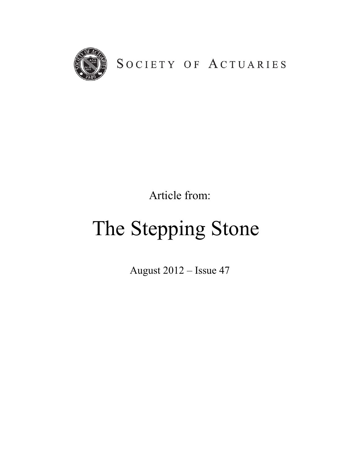

Article from:

# The Stepping Stone

August 2012 – Issue 47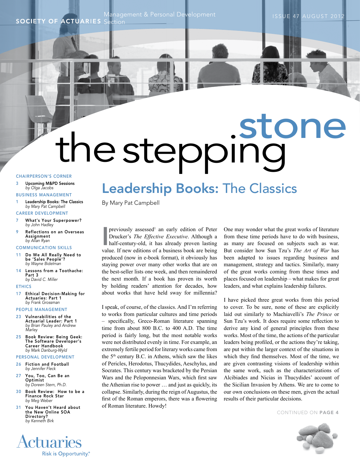Management & Personal Development

**SOCIETY OF ACTUARIES** Section

# the stepping

# CHAIRPERSON'S CORNER

- 3 Upcoming M&PD Sessions *by Olga Jacobs*
- BUSINESS MANAGEMENT
- Leadership Books: The Classics *by Mary Pat Campbell*

# CAREER DEVELOPMENT

- What's Your Superpower? *by John Hadley*
- 9 Reflections on an Overseas Assignment *by Allan Ryan*

# COMMUNICATION SKILLS

- 11 Do We All Really Need to be 'Sales People'? *by Wayne Bidelman*
- 14 Lessons from a Toothache: Part 3 *by David C. Miller*

# ETHICS

17 Ethical Decision-Making for Actuaries: Part 1 *by Frank Grossman*

# PEOPLE MANAGEMENT

- 23 Vulnerabilities of the Actuarial Leader: Part 1 *by Brian Pauley and Andrew Marley*
- 25 Book Review: Being Geek: The Software Developer's Career Handbook *by Mark Danburg-Wyld*

# PERSONAL DEVELOPMENT

- 26 Fiction and Football *by Jennifer Fleck*
- 27 You, Too, Can Be an Optimist *by Doreen Stern, Ph.D.*
- 30 Book Review: How to be a Finance Rock Star *by Meg Weber*
- 31 You Haven't Heard about the New Online SOA Directory? *by Kenneth Birk*

**Actuaries** 

Risk is Opportunity.®

# Leadership Books: The Classics

By Mary Pat Campbell

previously assessed<sup>1</sup> an early edition of Peter<br>Drucker's *The Effective Executive*. Although a<br>half-century-old, it has already proven lasting<br>welve If now editions of a business book are being previously assessed<sup>1</sup> an early edition of Peter Drucker's *The Effective Executive*. Although a value. If new editions of a business book are being produced (now in e-book format), it obviously has staying power over many other works that are on the best-seller lists one week, and then remaindered the next month. If a book has proven its worth by holding readers' attention for decades, how about works that have held sway for millennia?

I speak, of course, of the classics. And I'm referring to works from particular cultures and time periods – specifically, Greco-Roman literature spanning time from about 800 B.C. to 400 A.D. The time period is fairly long, but the most notable works were not distributed evenly in time. For example, an extremely fertile period for literary works came from the 5<sup>th</sup> century B.C. in Athens, which saw the likes of Pericles, Herodotus, Thucydides, Aeschylus, and Socrates. This century was bracketed by the Persian Wars and the Peloponnesian Wars, which first saw the Athenian rise to power … and just as quickly, its collapse. Similarly, during the reign of Augustus, the first of the Roman emperors, there was a flowering of Roman literature. Howdy!

One may wonder what the great works of literature from these time periods have to do with business, as many are focused on subjects such as war. But consider how Sun Tzu's *The Art of War* has been adapted to issues regarding business and management, strategy and tactics. Similarly, many of the great works coming from these times and places focused on leadership – what makes for great leaders, and what explains leadership failures.

I have picked three great works from this period to cover. To be sure, none of these are explicitly laid out similarly to Machiavelli's *The Prince* or Sun Tzu's work. It does require some reflection to derive any kind of general principles from these works. Most of the time, the actions of the particular leaders being profiled, or the actions they're taking, are put within the larger context of the situations in which they find themselves. Most of the time, we are given contrasting visions of leadership within the same work, such as the characterizations of Alcibiades and Nicias in Thucydides' account of the Sicilian Invasion by Athens. We are to come to our own conclusions on these men, given the actual results of their particular decisions.

CONTINUED ON PAGE 4

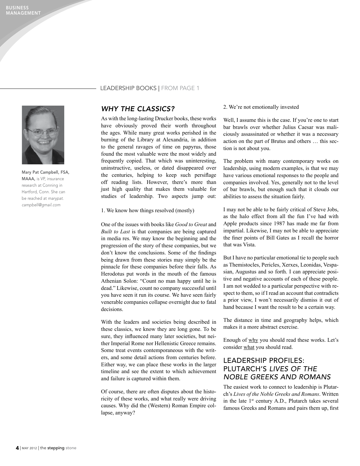

Mary Pat Campbell, FSA, MAAA, is VP, insurance research at Conning in Hartford, Conn. She can be reached at *marypat. campbell@gmail.com*

# Leadership Books | FROM PAGE 1

# *Why The Classics?*

As with the long-lasting Drucker books, these works have obviously proved their worth throughout the ages. While many great works perished in the burning of the Library at Alexandria, in addition to the general ravages of time on papyrus, those found the most valuable were the most widely and frequently copied. That which was uninteresting, uninstructive, useless, or dated disappeared over the centuries, helping to keep such persiflage off reading lists. However, there's more than just high quality that makes them valuable for studies of leadership. Two aspects jump out:

1. We know how things resolved (mostly)

One of the issues with books like *Good to Great* and *Built to Last* is that companies are being captured in media res. We may know the beginning and the progression of the story of these companies, but we don't know the conclusions. Some of the findings being drawn from these stories may simply be the pinnacle for these companies before their falls. As Herodotus put words in the mouth of the famous Athenian Solon: "Count no man happy until he is dead." Likewise, count no company successful until you have seen it run its course. We have seen fairly venerable companies collapse overnight due to fatal decisions.

With the leaders and societies being described in these classics, we know they are long gone. To be sure, they influenced many later societies, but neither Imperial Rome nor Hellenistic Greece remains. Some treat events contemporaneous with the writers, and some detail actions from centuries before. Either way, we can place these works in the larger timeline and see the extent to which achievement and failure is captured within them.

Of course, there are often disputes about the historicity of these works, and what really were driving causes. Why did the (Western) Roman Empire collapse, anyway?

# 2. We're not emotionally invested

Well, I assume this is the case. If you're one to start bar brawls over whether Julius Caesar was maliciously assassinated or whether it was a necessary action on the part of Brutus and others … this section is not about you.

The problem with many contemporary works on leadership, using modern examples, is that we may have various emotional responses to the people and companies involved. Yes, generally not to the level of bar brawls, but enough such that it clouds our abilities to assess the situation fairly.

I may not be able to be fairly critical of Steve Jobs, as the halo effect from all the fun I've had with Apple products since 1987 has made me far from impartial. Likewise, I may not be able to appreciate the finer points of Bill Gates as I recall the horror that was Vista.

But I have no particular emotional tie to people such as Themistocles, Pericles, Xerxes, Leonidas, Vespasian, Augustus and so forth. I can appreciate positive and negative accounts of each of these people. I am not wedded to a particular perspective with respect to them, so if I read an account that contradicts a prior view, I won't necessarily dismiss it out of hand because I want the result to be a certain way.

The distance in time and geography helps, which makes it a more abstract exercise.

Enough of why you should read these works. Let's consider what you should read.

# Leadership Profiles: Plutarch's *Lives of the Noble Greeks and Romans*

The easiest work to connect to leadership is Plutarch's *Lives of the Noble Greeks and Romans*. Written in the late 1st century A.D., Plutarch takes several famous Greeks and Romans and pairs them up, first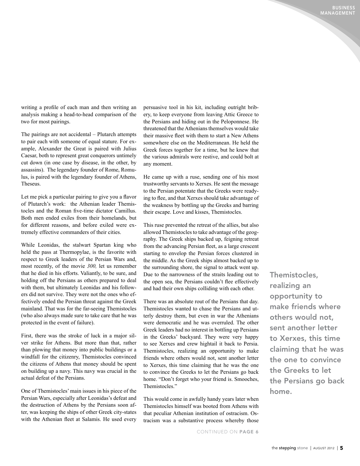BUSINESS MANAGEMENT

writing a profile of each man and then writing an analysis making a head-to-head comparison of the two for most pairings.

The pairings are not accidental – Plutarch attempts to pair each with someone of equal stature. For example, Alexander the Great is paired with Julius Caesar, both to represent great conquerors untimely cut down (in one case by disease, in the other, by assassins). The legendary founder of Rome, Romulus, is paired with the legendary founder of Athens, Theseus.

Let me pick a particular pairing to give you a flavor of Plutarch's work: the Athenian leader Themistocles and the Roman five-time dictator Camillus. Both men ended exiles from their homelands, but for different reasons, and before exiled were extremely effective commanders of their cities.

While Leonidas, the stalwart Spartan king who held the pass at Thermopylae, is the favorite with respect to Greek leaders of the Persian Wars and, most recently, of the movie *300,* let us remember that he died in his efforts. Valiantly, to be sure, and holding off the Persians as others prepared to deal with them, but ultimately Leonidas and his followers did not survive. They were not the ones who effectively ended the Persian threat against the Greek mainland. That was for the far-seeing Themistocles (who also always made sure to take care that he was protected in the event of failure).

First, there was the stroke of luck in a major silver strike for Athens. But more than that, rather than plowing that money into public buildings or a windfall for the citizenry, Themistocles convinced the citizens of Athens that money should be spent on building up a navy. This navy was crucial in the actual defeat of the Persians.

One of Themistocles' main issues in his piece of the Persian Wars, especially after Leonidas's defeat and the destruction of Athens by the Persians soon after, was keeping the ships of other Greek city-states with the Athenian fleet at Salamis. He used every

persuasive tool in his kit, including outright bribery, to keep everyone from leaving Attic Greece to the Persians and hiding out in the Peloponnese. He threatened that the Athenians themselves would take their massive fleet with them to start a New Athens somewhere else on the Mediterranean. He held the Greek forces together for a time, but he knew that the various admirals were restive, and could bolt at any moment.

He came up with a ruse, sending one of his most trustworthy servants to Xerxes. He sent the message to the Persian potentate that the Greeks were readying to flee, and that Xerxes should take advantage of the weakness by bottling up the Greeks and barring their escape. Love and kisses, Themistocles.

This ruse prevented the retreat of the allies, but also allowed Themistocles to take advantage of the geography. The Greek ships backed up, feigning retreat from the advancing Persian fleet, as a large crescent starting to envelop the Persian forces clustered in the middle. As the Greek ships almost backed up to the surrounding shore, the signal to attack went up. Due to the narrowness of the straits leading out to the open sea, the Persians couldn't flee effectively and had their own ships colliding with each other.

There was an absolute rout of the Persians that day. Themistocles wanted to chase the Persians and utterly destroy them, but even in war the Athenians were democratic and he was overruled. The other Greek leaders had no interest in bottling up Persians in the Greeks' backyard. They were very happy to see Xerxes and crew hightail it back to Persia. Themistocles, realizing an opportunity to make friends where others would not, sent another letter to Xerxes, this time claiming that he was the one to convince the Greeks to let the Persians go back home. "Don't forget who your friend is. Smooches, Themistocles."

This would come in awfully handy years later when Themistocles himself was booted from Athens with that peculiar Athenian institution of ostracism. Ostracism was a substantive process whereby those

Themistocles, realizing an opportunity to make friends where others would not, sent another letter to Xerxes, this time claiming that he was the one to convince the Greeks to let the Persians go back home.

CONTINUED ON PAGE 6